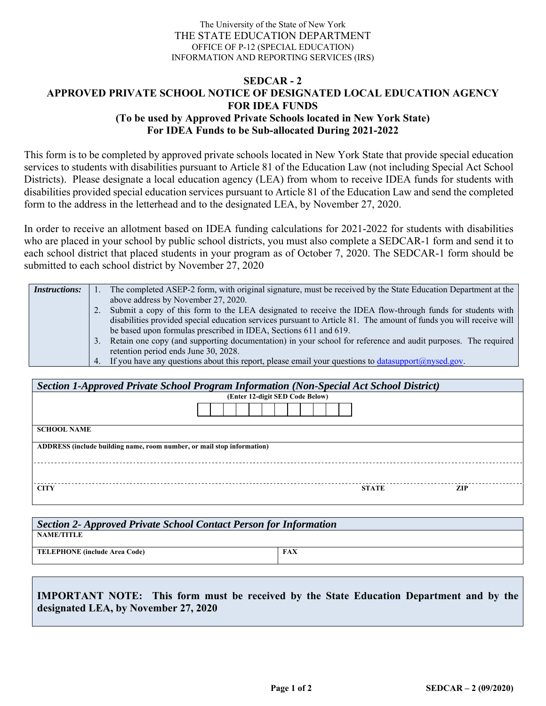## The University of the State of New York THE STATE EDUCATION DEPARTMENT OFFICE OF P-12 (SPECIAL EDUCATION) INFORMATION AND REPORTING SERVICES (IRS)

## **SEDCAR - 2 APPROVED PRIVATE SCHOOL NOTICE OF DESIGNATED LOCAL EDUCATION AGENCY FOR IDEA FUNDS (To be used by Approved Private Schools located in New York State) For IDEA Funds to be Sub-allocated During 2021-2022**

This form is to be completed by approved private schools located in New York State that provide special education services to students with disabilities pursuant to Article 81 of the Education Law (not including Special Act School Districts). Please designate a local education agency (LEA) from whom to receive IDEA funds for students with disabilities provided special education services pursuant to Article 81 of the Education Law and send the completed form to the address in the letterhead and to the designated LEA, by November 27, 2020.

In order to receive an allotment based on IDEA funding calculations for 2021-2022 for students with disabilities who are placed in your school by public school districts, you must also complete a SEDCAR-1 form and send it to each school district that placed students in your program as of October 7, 2020. The SEDCAR-1 form should be submitted to each school district by November 27, 2020

| <b>Instructions:</b> |    | The completed ASEP-2 form, with original signature, must be received by the State Education Department at the        |
|----------------------|----|----------------------------------------------------------------------------------------------------------------------|
|                      |    | above address by November 27, 2020.                                                                                  |
|                      |    | 2. Submit a copy of this form to the LEA designated to receive the IDEA flow-through funds for students with         |
|                      |    | disabilities provided special education services pursuant to Article 81. The amount of funds you will receive will   |
|                      |    | be based upon formulas prescribed in IDEA, Sections 611 and 619.                                                     |
|                      | 3. | Retain one copy (and supporting documentation) in your school for reference and audit purposes. The required         |
|                      |    | retention period ends June 30, 2028.                                                                                 |
|                      |    | 4. If you have any questions about this report, please email your questions to $\frac{datasupport(@nysed.gov)}{%}$ . |

| Section 1-Approved Private School Program Information (Non-Special Act School District) |              |            |  |  |  |
|-----------------------------------------------------------------------------------------|--------------|------------|--|--|--|
| (Enter 12-digit SED Code Below)                                                         |              |            |  |  |  |
|                                                                                         |              |            |  |  |  |
| <b>SCHOOL NAME</b>                                                                      |              |            |  |  |  |
| ADDRESS (include building name, room number, or mail stop information)                  |              |            |  |  |  |
|                                                                                         |              |            |  |  |  |
| <b>CITY</b>                                                                             | <b>STATE</b> | <b>ZIP</b> |  |  |  |

| Section 2- Approved Private School Contact Person for Information |            |  |  |  |  |  |
|-------------------------------------------------------------------|------------|--|--|--|--|--|
| <b>NAME/TITLE</b>                                                 |            |  |  |  |  |  |
| <b>TELEPHONE</b> (include Area Code)                              | <b>FAX</b> |  |  |  |  |  |

**IMPORTANT NOTE: This form must be received by the State Education Department and by the designated LEA, by November 27, 2020**